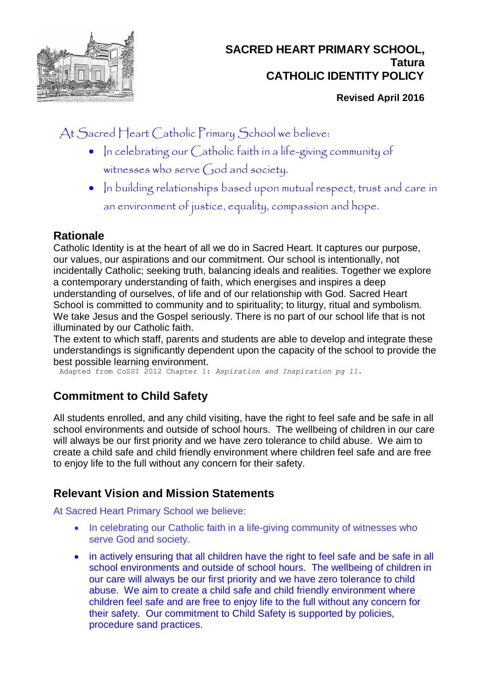

# **SACRED HEART PRIMARY SCHOOL, Tatura CATHOLIC IDENTITY POLICY**

### **Revised April 2016**

At Sacred Heart Catholic Primary School we believe:

- In celebrating our Catholic faith in a life-giving community of witnesses who serve God and society.
- In building relationships based upon mutual respect, trust and care in

an environment of justice, equality, compassion and hope.

# **Rationale**

Catholic Identity is at the heart of all we do in Sacred Heart. It captures our purpose, our values, our aspirations and our commitment. Our school is intentionally, not incidentally Catholic; seeking truth, balancing ideals and realities. Together we explore a contemporary understanding of faith, which energises and inspires a deep understanding of ourselves, of life and of our relationship with God. Sacred Heart School is committed to community and to spirituality; to liturgy, ritual and symbolism. We take Jesus and the Gospel seriously. There is no part of our school life that is not illuminated by our Catholic faith.

The extent to which staff, parents and students are able to develop and integrate these understandings is significantly dependent upon the capacity of the school to provide the best possible learning environment.

Adapted from CoSSI 2012 Chapter 1: *Aspiration and Inspiration pg 11.*

# **Commitment to Child Safety**

All students enrolled, and any child visiting, have the right to feel safe and be safe in all school environments and outside of school hours. The wellbeing of children in our care will always be our first priority and we have zero tolerance to child abuse. We aim to create a child safe and child friendly environment where children feel safe and are free to enjoy life to the full without any concern for their safety.

# **Relevant Vision and Mission Statements**

At Sacred Heart Primary School we believe:

- In celebrating our Catholic faith in a life-giving community of witnesses who serve God and society.
- in actively ensuring that all children have the right to feel safe and be safe in all school environments and outside of school hours. The wellbeing of children in our care will always be our first priority and we have zero tolerance to child abuse. We aim to create a child safe and child friendly environment where children feel safe and are free to enjoy life to the full without any concern for their safety. Our commitment to Child Safety is supported by policies, procedure sand practices.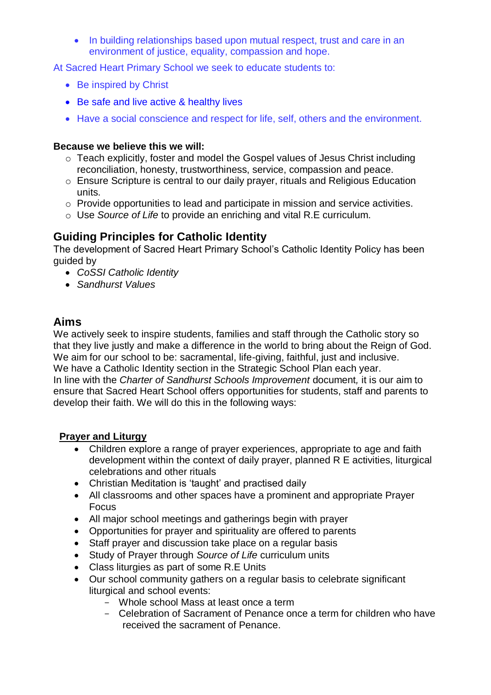• In building relationships based upon mutual respect, trust and care in an environment of justice, equality, compassion and hope.

At Sacred Heart Primary School we seek to educate students to:

- Be inspired by Christ
- Be safe and live active & healthy lives
- Have a social conscience and respect for life, self, others and the environment.

#### **Because we believe this we will:**

- o Teach explicitly, foster and model the Gospel values of Jesus Christ including reconciliation, honesty, trustworthiness, service, compassion and peace.
- o Ensure Scripture is central to our daily prayer, rituals and Religious Education units.
- o Provide opportunities to lead and participate in mission and service activities.
- o Use *Source of Life* to provide an enriching and vital R.E curriculum.

# **Guiding Principles for Catholic Identity**

The development of Sacred Heart Primary School's Catholic Identity Policy has been guided by

- *CoSSI Catholic Identity*
- *Sandhurst Values*

# **Aims**

We actively seek to inspire students, families and staff through the Catholic story so that they live justly and make a difference in the world to bring about the Reign of God. We aim for our school to be: sacramental, life-giving, faithful, just and inclusive. We have a Catholic Identity section in the Strategic School Plan each year. In line with the *Charter of Sandhurst Schools Improvement* document*,* it is our aim to ensure that Sacred Heart School offers opportunities for students, staff and parents to develop their faith. We will do this in the following ways:

### **Prayer and Liturgy**

- Children explore a range of prayer experiences, appropriate to age and faith development within the context of daily prayer, planned R E activities, liturgical celebrations and other rituals
- Christian Meditation is 'taught' and practised daily
- All classrooms and other spaces have a prominent and appropriate Prayer Focus
- All major school meetings and gatherings begin with prayer
- Opportunities for prayer and spirituality are offered to parents
- Staff prayer and discussion take place on a regular basis
- Study of Prayer through *Source of Life* curriculum units
- Class liturgies as part of some R.E Units
- Our school community gathers on a regular basis to celebrate significant liturgical and school events:
	- Whole school Mass at least once a term
	- Celebration of Sacrament of Penance once a term for children who have received the sacrament of Penance.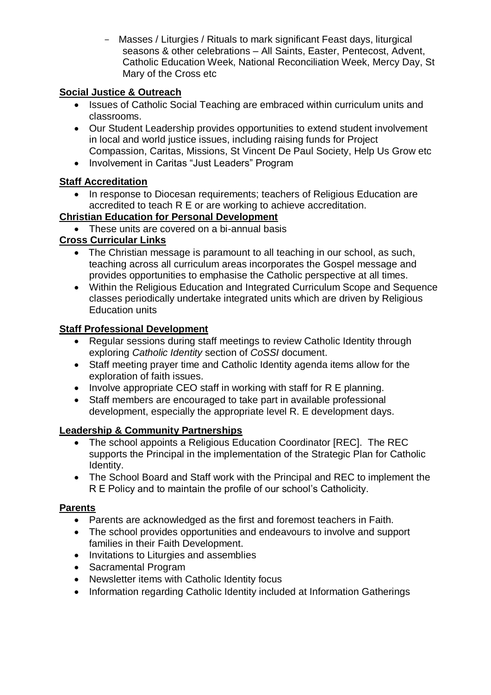Masses / Liturgies / Rituals to mark significant Feast days, liturgical seasons & other celebrations – All Saints, Easter, Pentecost, Advent, Catholic Education Week, National Reconciliation Week, Mercy Day, St Mary of the Cross etc

## **Social Justice & Outreach**

- Issues of Catholic Social Teaching are embraced within curriculum units and classrooms.
- Our Student Leadership provides opportunities to extend student involvement in local and world justice issues, including raising funds for Project Compassion, Caritas, Missions, St Vincent De Paul Society, Help Us Grow etc
- Involvement in Caritas "Just Leaders" Program

## **Staff Accreditation**

• In response to Diocesan requirements; teachers of Religious Education are accredited to teach R E or are working to achieve accreditation.

## **Christian Education for Personal Development**

• These units are covered on a bi-annual basis

## **Cross Curricular Links**

- The Christian message is paramount to all teaching in our school, as such, teaching across all curriculum areas incorporates the Gospel message and provides opportunities to emphasise the Catholic perspective at all times.
- Within the Religious Education and Integrated Curriculum Scope and Sequence classes periodically undertake integrated units which are driven by Religious Education units

### **Staff Professional Development**

- Regular sessions during staff meetings to review Catholic Identity through exploring *Catholic Identity* section of *CoSSI* document.
- Staff meeting prayer time and Catholic Identity agenda items allow for the exploration of faith issues.
- $\bullet$  Involve appropriate CEO staff in working with staff for R E planning.
- Staff members are encouraged to take part in available professional development, especially the appropriate level R. E development days.

### **Leadership & Community Partnerships**

- The school appoints a Religious Education Coordinator [REC]. The REC supports the Principal in the implementation of the Strategic Plan for Catholic Identity.
- The School Board and Staff work with the Principal and REC to implement the R E Policy and to maintain the profile of our school's Catholicity.

### **Parents**

- Parents are acknowledged as the first and foremost teachers in Faith.
- The school provides opportunities and endeavours to involve and support families in their Faith Development.
- Invitations to Liturgies and assemblies
- Sacramental Program
- Newsletter items with Catholic Identity focus
- Information regarding Catholic Identity included at Information Gatherings